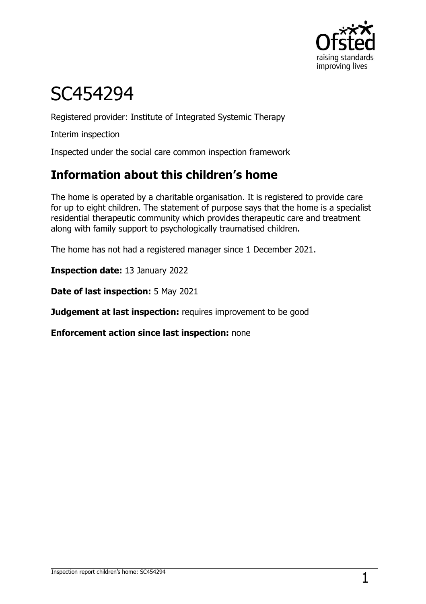

# SC454294

Registered provider: Institute of Integrated Systemic Therapy

Interim inspection

Inspected under the social care common inspection framework

# **Information about this children's home**

The home is operated by a charitable organisation. It is registered to provide care for up to eight children. The statement of purpose says that the home is a specialist residential therapeutic community which provides therapeutic care and treatment along with family support to psychologically traumatised children.

The home has not had a registered manager since 1 December 2021.

**Inspection date:** 13 January 2022

**Date of last inspection:** 5 May 2021

**Judgement at last inspection:** requires improvement to be good

**Enforcement action since last inspection:** none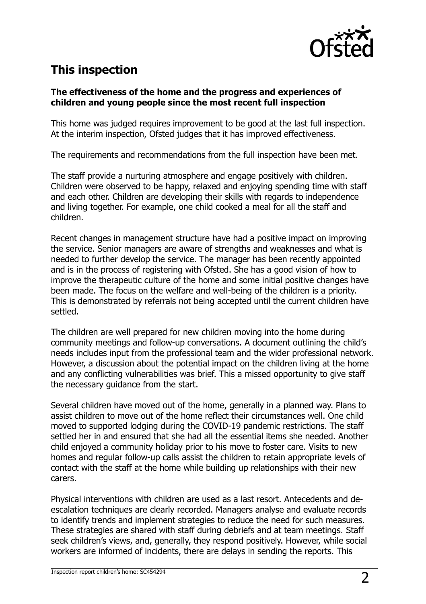

# **This inspection**

#### **The effectiveness of the home and the progress and experiences of children and young people since the most recent full inspection**

This home was judged requires improvement to be good at the last full inspection. At the interim inspection, Ofsted judges that it has improved effectiveness.

The requirements and recommendations from the full inspection have been met.

The staff provide a nurturing atmosphere and engage positively with children. Children were observed to be happy, relaxed and enjoying spending time with staff and each other. Children are developing their skills with regards to independence and living together. For example, one child cooked a meal for all the staff and children.

Recent changes in management structure have had a positive impact on improving the service. Senior managers are aware of strengths and weaknesses and what is needed to further develop the service. The manager has been recently appointed and is in the process of registering with Ofsted. She has a good vision of how to improve the therapeutic culture of the home and some initial positive changes have been made. The focus on the welfare and well-being of the children is a priority. This is demonstrated by referrals not being accepted until the current children have settled.

The children are well prepared for new children moving into the home during community meetings and follow-up conversations. A document outlining the child's needs includes input from the professional team and the wider professional network. However, a discussion about the potential impact on the children living at the home and any conflicting vulnerabilities was brief. This a missed opportunity to give staff the necessary guidance from the start.

Several children have moved out of the home, generally in a planned way. Plans to assist children to move out of the home reflect their circumstances well. One child moved to supported lodging during the COVID-19 pandemic restrictions. The staff settled her in and ensured that she had all the essential items she needed. Another child enjoyed a community holiday prior to his move to foster care. Visits to new homes and regular follow-up calls assist the children to retain appropriate levels of contact with the staff at the home while building up relationships with their new carers.

Physical interventions with children are used as a last resort. Antecedents and deescalation techniques are clearly recorded. Managers analyse and evaluate records to identify trends and implement strategies to reduce the need for such measures. These strategies are shared with staff during debriefs and at team meetings. Staff seek children's views, and, generally, they respond positively. However, while social workers are informed of incidents, there are delays in sending the reports. This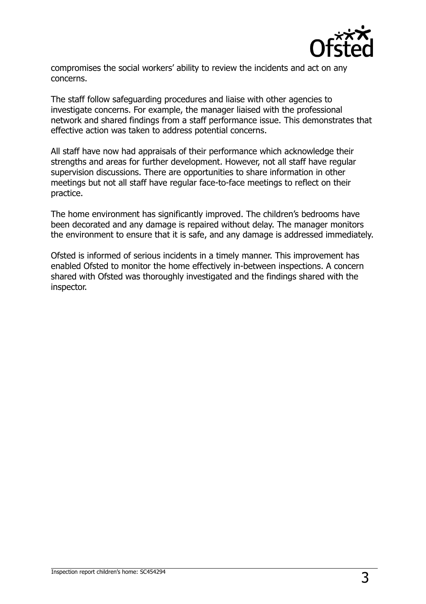

compromises the social workers' ability to review the incidents and act on any concerns.

The staff follow safeguarding procedures and liaise with other agencies to investigate concerns. For example, the manager liaised with the professional network and shared findings from a staff performance issue. This demonstrates that effective action was taken to address potential concerns.

All staff have now had appraisals of their performance which acknowledge their strengths and areas for further development. However, not all staff have regular supervision discussions. There are opportunities to share information in other meetings but not all staff have regular face-to-face meetings to reflect on their practice.

The home environment has significantly improved. The children's bedrooms have been decorated and any damage is repaired without delay. The manager monitors the environment to ensure that it is safe, and any damage is addressed immediately.

Ofsted is informed of serious incidents in a timely manner. This improvement has enabled Ofsted to monitor the home effectively in-between inspections. A concern shared with Ofsted was thoroughly investigated and the findings shared with the inspector.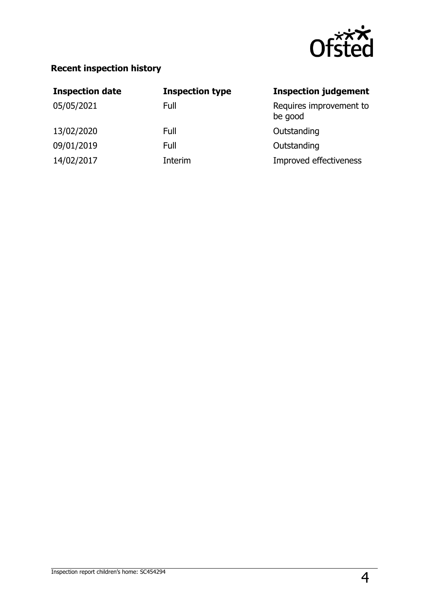

### **Recent inspection history**

| <b>Inspection date</b> | <b>Inspection type</b> | <b>Inspection judgement</b>        |
|------------------------|------------------------|------------------------------------|
| 05/05/2021             | Full                   | Requires improvement to<br>be good |
| 13/02/2020             | Full                   | Outstanding                        |
| 09/01/2019             | Full                   | Outstanding                        |
| 14/02/2017             | Interim                | Improved effectiveness             |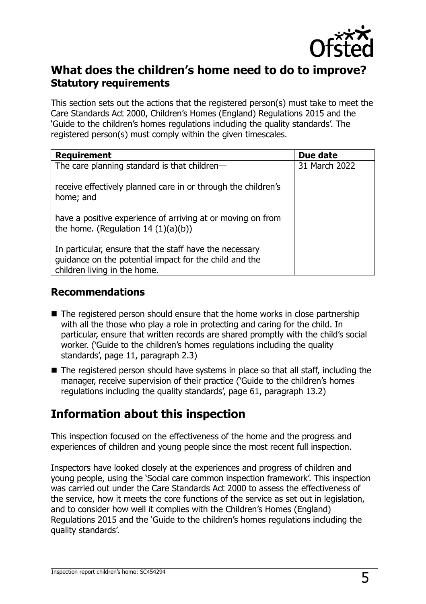

#### **What does the children's home need to do to improve? Statutory requirements**

This section sets out the actions that the registered person(s) must take to meet the Care Standards Act 2000, Children's Homes (England) Regulations 2015 and the 'Guide to the children's homes regulations including the quality standards'. The registered person(s) must comply within the given timescales.

| <b>Requirement</b>                                                                                                                                | Due date      |
|---------------------------------------------------------------------------------------------------------------------------------------------------|---------------|
| The care planning standard is that children-                                                                                                      | 31 March 2022 |
| receive effectively planned care in or through the children's<br>home; and                                                                        |               |
| have a positive experience of arriving at or moving on from<br>the home. (Regulation $14(1)(a)(b)$ )                                              |               |
| In particular, ensure that the staff have the necessary<br>guidance on the potential impact for the child and the<br>children living in the home. |               |

#### **Recommendations**

- The registered person should ensure that the home works in close partnership with all the those who play a role in protecting and caring for the child. In particular, ensure that written records are shared promptly with the child's social worker. ('Guide to the children's homes regulations including the quality standards', page 11, paragraph 2.3)
- The registered person should have systems in place so that all staff, including the manager, receive supervision of their practice ('Guide to the children's homes regulations including the quality standards', page 61, paragraph 13.2)

## **Information about this inspection**

This inspection focused on the effectiveness of the home and the progress and experiences of children and young people since the most recent full inspection.

Inspectors have looked closely at the experiences and progress of children and young people, using the 'Social care common inspection framework'. This inspection was carried out under the Care Standards Act 2000 to assess the effectiveness of the service, how it meets the core functions of the service as set out in legislation, and to consider how well it complies with the Children's Homes (England) Regulations 2015 and the 'Guide to the children's homes regulations including the quality standards'.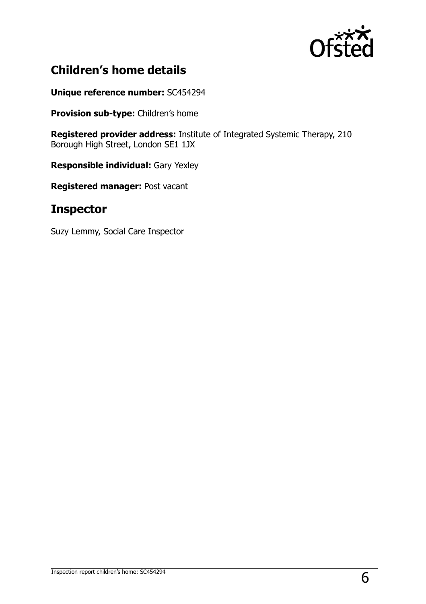

# **Children's home details**

**Unique reference number:** SC454294

**Provision sub-type:** Children's home

**Registered provider address:** Institute of Integrated Systemic Therapy, 210 Borough High Street, London SE1 1JX

**Responsible individual:** Gary Yexley

**Registered manager:** Post vacant

## **Inspector**

Suzy Lemmy, Social Care Inspector